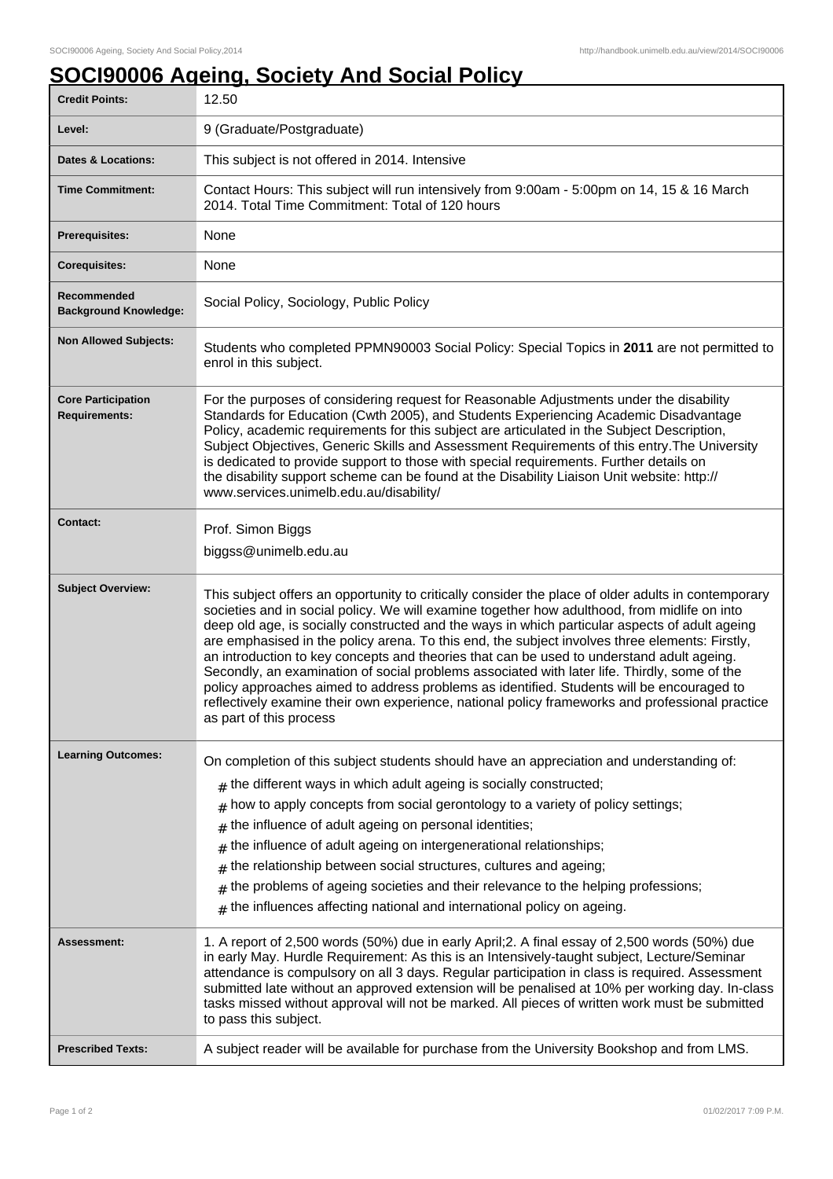## **SOCI90006 Ageing, Society And Social Policy**

| <b>Credit Points:</b>                             | 12.50                                                                                                                                                                                                                                                                                                                                                                                                                                                                                                                                                                                                                                                                                                                                                                                                                           |
|---------------------------------------------------|---------------------------------------------------------------------------------------------------------------------------------------------------------------------------------------------------------------------------------------------------------------------------------------------------------------------------------------------------------------------------------------------------------------------------------------------------------------------------------------------------------------------------------------------------------------------------------------------------------------------------------------------------------------------------------------------------------------------------------------------------------------------------------------------------------------------------------|
| Level:                                            | 9 (Graduate/Postgraduate)                                                                                                                                                                                                                                                                                                                                                                                                                                                                                                                                                                                                                                                                                                                                                                                                       |
| <b>Dates &amp; Locations:</b>                     | This subject is not offered in 2014. Intensive                                                                                                                                                                                                                                                                                                                                                                                                                                                                                                                                                                                                                                                                                                                                                                                  |
| <b>Time Commitment:</b>                           | Contact Hours: This subject will run intensively from 9:00am - 5:00pm on 14, 15 & 16 March<br>2014. Total Time Commitment: Total of 120 hours                                                                                                                                                                                                                                                                                                                                                                                                                                                                                                                                                                                                                                                                                   |
| <b>Prerequisites:</b>                             | None                                                                                                                                                                                                                                                                                                                                                                                                                                                                                                                                                                                                                                                                                                                                                                                                                            |
| <b>Corequisites:</b>                              | None                                                                                                                                                                                                                                                                                                                                                                                                                                                                                                                                                                                                                                                                                                                                                                                                                            |
| Recommended<br><b>Background Knowledge:</b>       | Social Policy, Sociology, Public Policy                                                                                                                                                                                                                                                                                                                                                                                                                                                                                                                                                                                                                                                                                                                                                                                         |
| <b>Non Allowed Subjects:</b>                      | Students who completed PPMN90003 Social Policy: Special Topics in 2011 are not permitted to<br>enrol in this subject.                                                                                                                                                                                                                                                                                                                                                                                                                                                                                                                                                                                                                                                                                                           |
| <b>Core Participation</b><br><b>Requirements:</b> | For the purposes of considering request for Reasonable Adjustments under the disability<br>Standards for Education (Cwth 2005), and Students Experiencing Academic Disadvantage<br>Policy, academic requirements for this subject are articulated in the Subject Description,<br>Subject Objectives, Generic Skills and Assessment Requirements of this entry. The University<br>is dedicated to provide support to those with special requirements. Further details on<br>the disability support scheme can be found at the Disability Liaison Unit website: http://<br>www.services.unimelb.edu.au/disability/                                                                                                                                                                                                                |
| <b>Contact:</b>                                   | Prof. Simon Biggs<br>biggss@unimelb.edu.au                                                                                                                                                                                                                                                                                                                                                                                                                                                                                                                                                                                                                                                                                                                                                                                      |
| <b>Subject Overview:</b>                          | This subject offers an opportunity to critically consider the place of older adults in contemporary<br>societies and in social policy. We will examine together how adulthood, from midlife on into<br>deep old age, is socially constructed and the ways in which particular aspects of adult ageing<br>are emphasised in the policy arena. To this end, the subject involves three elements: Firstly,<br>an introduction to key concepts and theories that can be used to understand adult ageing.<br>Secondly, an examination of social problems associated with later life. Thirdly, some of the<br>policy approaches aimed to address problems as identified. Students will be encouraged to<br>reflectively examine their own experience, national policy frameworks and professional practice<br>as part of this process |
| <b>Learning Outcomes:</b>                         | On completion of this subject students should have an appreciation and understanding of:                                                                                                                                                                                                                                                                                                                                                                                                                                                                                                                                                                                                                                                                                                                                        |
|                                                   | the different ways in which adult ageing is socially constructed;<br>#                                                                                                                                                                                                                                                                                                                                                                                                                                                                                                                                                                                                                                                                                                                                                          |
|                                                   | how to apply concepts from social gerontology to a variety of policy settings;<br>#                                                                                                                                                                                                                                                                                                                                                                                                                                                                                                                                                                                                                                                                                                                                             |
|                                                   | the influence of adult ageing on personal identities;<br>#                                                                                                                                                                                                                                                                                                                                                                                                                                                                                                                                                                                                                                                                                                                                                                      |
|                                                   | the influence of adult ageing on intergenerational relationships;<br>#                                                                                                                                                                                                                                                                                                                                                                                                                                                                                                                                                                                                                                                                                                                                                          |
|                                                   | the relationship between social structures, cultures and ageing;<br>#                                                                                                                                                                                                                                                                                                                                                                                                                                                                                                                                                                                                                                                                                                                                                           |
|                                                   | the problems of ageing societies and their relevance to the helping professions;<br>#                                                                                                                                                                                                                                                                                                                                                                                                                                                                                                                                                                                                                                                                                                                                           |
|                                                   | the influences affecting national and international policy on ageing.<br>#                                                                                                                                                                                                                                                                                                                                                                                                                                                                                                                                                                                                                                                                                                                                                      |
| Assessment:                                       | 1. A report of 2,500 words (50%) due in early April; 2. A final essay of 2,500 words (50%) due<br>in early May. Hurdle Requirement: As this is an Intensively-taught subject, Lecture/Seminar<br>attendance is compulsory on all 3 days. Regular participation in class is required. Assessment<br>submitted late without an approved extension will be penalised at 10% per working day. In-class<br>tasks missed without approval will not be marked. All pieces of written work must be submitted<br>to pass this subject.                                                                                                                                                                                                                                                                                                   |
| <b>Prescribed Texts:</b>                          | A subject reader will be available for purchase from the University Bookshop and from LMS.                                                                                                                                                                                                                                                                                                                                                                                                                                                                                                                                                                                                                                                                                                                                      |